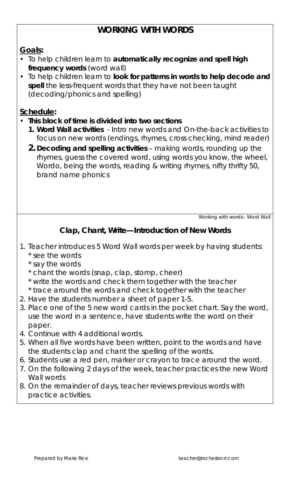# **WORKING WITH WORDS**

#### *Goals***:**

- To help children learn to **automatically recognize and spell high frequency words** (word wall)
- To help children learn to **look for patterns in words to help decode and spell** the less-frequent words that they have not been taught (decoding/phonics and spelling)

### *Schedule***:**

- **This block of time is divided into two sections** 
	- **1. Word Wall activities**  Intro new words and On-the-back activities to focus on new words (endings, rhymes, cross checking, mind reader)
	- **2. Decoding and spelling activities** making words, rounding up the rhymes, guess the covered word, using words you know, the wheel, Wordo, being the words, reading & writing rhymes, nifty thrifty 50, brand name phonics

*Working with words - Word Wall* 

## **Clap, Chant, Write—Introduction of New Words**

- 1. Teacher introduces 5 Word Wall words per week by having students:
	- \* see the words
	- \* say the words
	- \* chant the words (snap, clap, stomp, cheer)
	- \* write the words and check them together with the teacher
	- \* trace around the words and check together with the teacher
- 2. Have the students number a sheet of paper 1-5.
- 3. Place one of the 5 new word cards in the pocket chart. Say the word, use the word in a sentence, have students write the word on their paper.
- 4. Continue with 4 additional words.
- 5. When all five words have been written, point to the words and have the students clap and chant the spelling of the words.
- 6. Students use a red pen, marker or crayon to trace around the word.
- 7. On the following 2 days of the week, teacher practices the new Word Wall words
- 8. On the remainder of days, teacher reviews previous words with practice activities.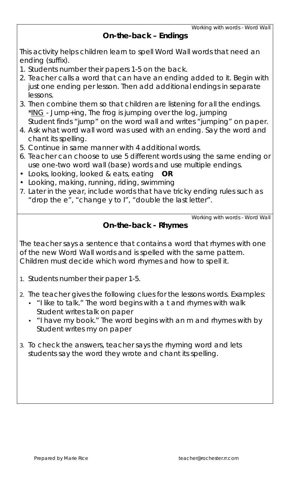#### **On-the-back – Endings**

This activity helps children learn to spell Word Wall words that need an ending (suffix).

- 1. Students number their papers 1-5 on the back.
- 2. Teacher calls a word that can have an ending added to it. Begin with just one ending per lesson. Then add additional endings in separate lessons.
- 3. Then combine them so that children are listening for all the endings.  $*$ ING - Jump+ing, The frog is jumping over the log, jumping Student finds "jump" on the word wall and writes "jumping" on paper.
- 4. Ask what word wall word was used with an ending. Say the word and chant its spelling.
- 5. Continue in same manner with 4 additional words.
- 6. Teacher can choose to use 5 different words using the same ending or use one-two word wall (base) words and use multiple endings.
- Looks, looking, looked & eats, eating **OR**
- Looking, making, running, riding, swimming
- 7. Later in the year, include words that have tricky ending rules such as "drop the e", "change y to I", "double the last letter".

*Working with words - Word Wall* 

### **On-the-back - Rhymes**

The teacher says a sentence that contains a word that rhymes with one of the new Word Wall words and is spelled with the same pattern. Children must decide which word rhymes and how to spell it.

1. Students number their paper 1-5.

2. The teacher gives the following clues for the lessons words. Examples:

- "I like to talk." The word begins with a t and rhymes with walk Student writes talk on paper
- "I have my book." The word begins with an m and rhymes with by Student writes my on paper
- 3. To check the answers, teacher says the rhyming word and lets students say the word they wrote and chant its spelling.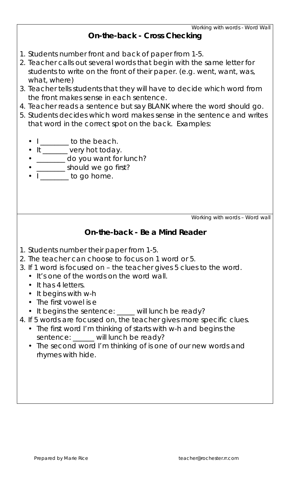#### **On-the-back - Cross Checking**

- 1. Students number front and back of paper from 1-5.
- 2. Teacher calls out several words that begin with the same letter for students to write on the front of their paper. (e.g. went, want, was, what, where)
- 3. Teacher tells students that they will have to decide which word from the front makes sense in each sentence.
- 4. Teacher reads a sentence but say BLANK where the word should go.
- 5. Students decides which word makes sense in the sentence and writes that word in the correct spot on the back. Examples:
	- $\bullet$   $I$  \_\_\_\_\_\_\_ to the beach.
	- It \_\_\_\_\_\_ very hot today.
	- \_\_\_\_\_\_\_ do you want for lunch?
	- \_\_\_\_\_\_\_\_ should we go first?
	- $\bullet$   $\Box$  to go home.

*Working with words – Word wall* 

### **On-the-back - Be a Mind Reader**

- 1. Students number their paper from 1-5.
- 2. The teacher can choose to focus on 1 word or 5.
- 3. If 1 word is focused on the teacher gives 5 clues to the word.
	- It's one of the words on the word wall.
		- It has 4 letters.
		- It begins with w-h
		- The first vowel is e
		- It begins the sentence: \_\_\_\_ will lunch be ready?
- 4. If 5 words are focused on, the teacher gives more specific clues.
	- The first word I'm thinking of starts with w-h and begins the sentence: \_\_\_\_\_ will lunch be ready?
	- The second word I'm thinking of is one of our new words and rhymes with hide.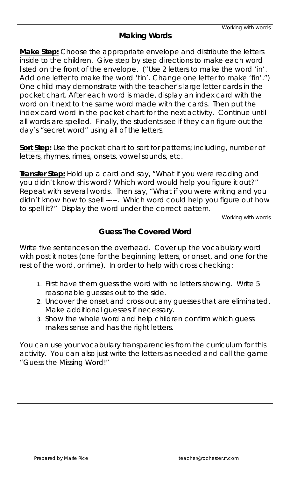## **Making Words**

**Make Step:** Choose the appropriate envelope and distribute the letters inside to the children. Give step by step directions to make each word listed on the front of the envelope. ("Use 2 letters to make the word 'in'. Add one letter to make the word 'tin'. Change one letter to make 'fin'.") One child may demonstrate with the teacher's large letter cards in the pocket chart. After each word is made, display an index card with the word on it next to the same word made with the cards. Then put the index card word in the pocket chart for the next activity. Continue until all words are spelled. Finally, the students see if they can figure out the day's "secret word" using all of the letters.

**Sort Step:** Use the pocket chart to sort for patterns; including, number of letters, rhymes, rimes, onsets, vowel sounds, etc.

**Transfer Step:** Hold up a card and say, "What if you were reading and you didn't know this word? Which word would help you figure it out?" Repeat with several words. Then say, "What if you were writing and you didn't know how to spell -----. Which word could help you figure out how to spell it?" Display the word under the correct pattern.

*Working with words* 

## **Guess The Covered Word**

Write five sentences on the overhead. Cover up the vocabulary word with post it notes (one for the beginning letters, or onset, and one for the rest of the word, or rime). In order to help with cross checking:

- 1. First have them guess the word with no letters showing. Write 5 reasonable guesses out to the side.
- 2. Uncover the onset and cross out any guesses that are eliminated. Make additional guesses if necessary.
- 3. Show the whole word and help children confirm which guess makes sense and has the right letters.

You can use your vocabulary transparencies from the curriculum for this activity. You can also just write the letters as needed and call the game "Guess the Missing Word!"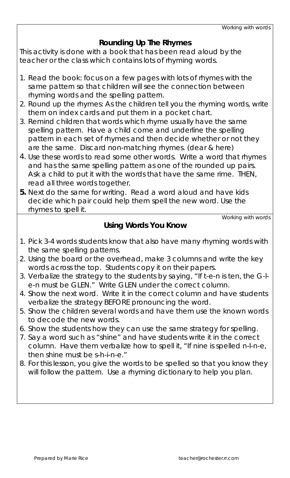## **Rounding Up The Rhymes**

This activity is done with a book that has been read aloud by the teacher or the class which contains lots of rhyming words.

- 1. Read the book: focus on a few pages with lots of rhymes with the same pattern so that children will see the connection between rhyming words and the spelling pattern.
- 2. Round up the rhymes: As the children tell you the rhyming words, write them on index cards and put them in a pocket chart.
- 3. Remind children that words which rhyme usually have the same spelling pattern. Have a child come and underline the spelling pattern in each set of rhymes and then decide whether or not they are the same. Discard non-matching rhymes. (dear & here)
- 4. Use these words to read some other words. Write a word that rhymes and has the same spelling pattern as one of the rounded up pairs. Ask a child to put it with the words that have the same rime. THEN, read all three words together.
- **5.** Next do the same for writing. Read a word aloud and have kids decide which pair could help them spell the new word. Use the rhymes to spell it.

*Working with words* 

### **Using Words You Know**

- 1. Pick 3-4 words students know that also have many rhyming words with the same spelling patterns.
- 2. Using the board or the overhead, make 3 columns and write the key words across the top. Students copy it on their papers.
- 3. Verbalize the strategy to the students by saying, "If t-e-n is ten, the G-le-n must be GLEN." Write GLEN under the correct column.
- 4. Show the next word. Write it in the correct column and have students verbalize the strategy BEFORE pronouncing the word.
- 5. Show the children several words and have them use the known words to decode the new words.
- 6. Show the students how they can use the same strategy for spelling.
- 7. Say a word such as "shine" and have students write it in the correct column. Have them verbalize how to spell it, "If nine is spelled n-I-n-e, then shine must be s-h-i-n-e."
- 8. For this lesson, you give the words to be spelled so that you know they will follow the pattern. Use a rhyming dictionary to help you plan.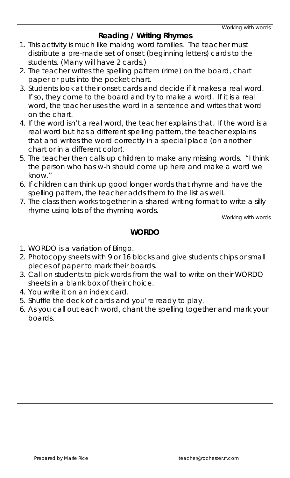## **Reading / Writing Rhymes**

- 1. This activity is much like making word families. The teacher must distribute a pre-made set of onset (beginning letters) cards to the students. (Many will have 2 cards.)
- 2. The teacher writes the spelling pattern (rime) on the board, chart paper or puts into the pocket chart.
- 3. Students look at their onset cards and decide if it makes a real word. If so, they come to the board and try to make a word. If it is a real word, the teacher uses the word in a sentence and writes that word on the chart.
- 4. If the word isn't a real word, the teacher explains that. If the word is a real word but has a different spelling pattern, the teacher explains that and writes the word correctly in a special place (on another chart or in a different color).
- 5. The teacher then calls up children to make any missing words. "I think the person who has w-h should come up here and make a word we know."
- 6. If children can think up good longer words that rhyme and have the spelling pattern, the teacher adds them to the list as well.
- 7. The class then works together in a shared writing format to write a silly rhyme using lots of the rhyming words.

*Working with words* 

## **WORDO**

- 1. WORDO is a variation of Bingo.
- 2. Photocopy sheets with 9 or 16 blocks and give students chips or small pieces of paper to mark their boards.
- 3. Call on students to pick words from the wall to write on their WORDO sheets in a blank box of their choice.
- 4. You write it on an index card.
- 5. Shuffle the deck of cards and you're ready to play.
- 6. As you call out each word, chant the spelling together and mark your boards.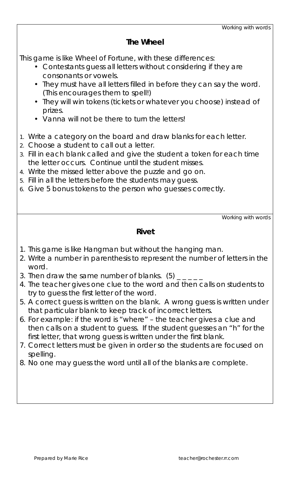#### **The Wheel**

This game is like Wheel of Fortune, with these differences:

- Contestants guess all letters without considering if they are consonants or vowels.
- They must have all letters filled in before they can say the word. (This encourages them to spell!)
- They will win tokens (tickets or whatever you choose) instead of prizes.
- Vanna will not be there to turn the letters!
- 1. Write a category on the board and draw blanks for each letter.
- 2. Choose a student to call out a letter.
- 3. Fill in each blank called and give the student a token for each time the letter occurs. Continue until the student misses.
- 4. Write the missed letter above the puzzle and go on.
- 5. Fill in all the letters before the students may guess.
- 6. Give 5 bonus tokens to the person who guesses correctly.

*Working with words* 

#### **Rivet**

- 1. This game is like Hangman but without the hanging man.
- 2. Write a number in parenthesis to represent the number of letters in the word.
- 3. Then draw the same number of blanks.  $(5)$   $_{-\;-\;-\;-}$
- 4. The teacher gives one clue to the word and then calls on students to try to guess the first letter of the word.
- 5. A correct guess is written on the blank. A wrong guess is written under that particular blank to keep track of incorrect letters.
- 6. For example: if the word is "where" the teacher gives a clue and then calls on a student to guess. If the student guesses an "h" for the first letter, that wrong guess is written under the first blank.
- 7. Correct letters must be given in order so the students are focused on spelling.
- 8. No one may guess the word until all of the blanks are complete.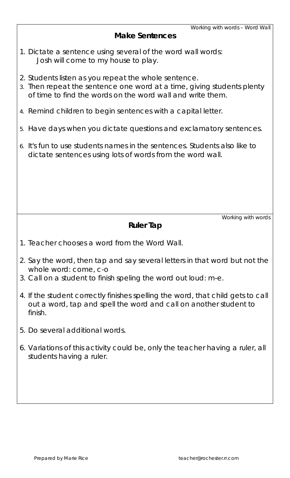#### **Make Sentences**

- 1. Dictate a sentence using several of the word wall words: Josh will come to my house to play.
- 2. Students listen as you repeat the whole sentence.
- 3. Then repeat the sentence one word at a time, giving students plenty of time to find the words on the word wall and write them.
- 4. Remind children to begin sentences with a capital letter.
- 5. Have days when you dictate questions and exclamatory sentences.
- 6. It's fun to use students names in the sentences. Students also like to dictate sentences using lots of words from the word wall.

*Working with words* 

#### **Ruler Tap**

- 1. Teacher chooses a word from the Word Wall.
- 2. Say the word, then tap and say several letters in that word but not the whole word: come, c-o
- 3. Call on a student to finish speling the word out loud: m-e.
- 4. If the student correctly finishes spelling the word, that child gets to call out a word, tap and spell the word and call on another student to finish.
- 5. Do several additional words.
- 6. Variations of this activity could be, only the teacher having a ruler, all students having a ruler.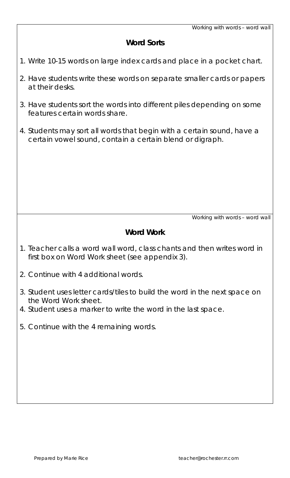### **Word Sorts**

- 1. Write 10-15 words on large index cards and place in a pocket chart.
- 2. Have students write these words on separate smaller cards or papers at their desks.
- 3. Have students sort the words into different piles depending on some features certain words share.
- 4. Students may sort all words that begin with a certain sound, have a certain vowel sound, contain a certain blend or digraph.

*Working with words – word wall* 

#### **Word Work**

- 1. Teacher calls a word wall word, class chants and then writes word in first box on Word Work sheet (see appendix 3).
- 2. Continue with 4 additional words.
- 3. Student uses letter cards/tiles to build the word in the next space on the Word Work sheet.
- 4. Student uses a marker to write the word in the last space.
- 5. Continue with the 4 remaining words.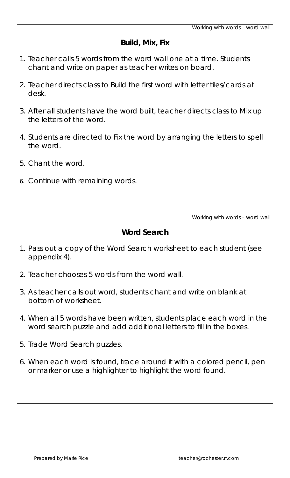#### **Build, Mix, Fix**

- 1. Teacher calls 5 words from the word wall one at a time. Students chant and write on paper as teacher writes on board.
- 2. Teacher directs class to Build the first word with letter tiles/cards at desk.
- 3. After all students have the word built, teacher directs class to Mix up the letters of the word.
- 4. Students are directed to Fix the word by arranging the letters to spell the word.
- 5. Chant the word.
- 6. Continue with remaining words.

*Working with words – word wall* 

### **Word Search**

- 1. Pass out a copy of the Word Search worksheet to each student (see appendix 4).
- 2. Teacher chooses 5 words from the word wall.
- 3. As teacher calls out word, students chant and write on blank at bottom of worksheet.
- 4. When all 5 words have been written, students place each word in the word search puzzle and add additional letters to fill in the boxes.
- 5. Trade Word Search puzzles.
- 6. When each word is found, trace around it with a colored pencil, pen or marker or use a highlighter to highlight the word found.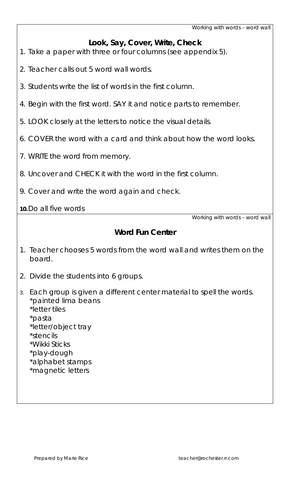*Working with words – word wall* 

#### **Look, Say, Cover, Write, Check**

- 1. Take a paper with three or four columns (see appendix 5).
- 2. Teacher calls out 5 word wall words.
- 3. Students write the list of words in the first column.
- 4. Begin with the first word. SAY it and notice parts to remember.
- 5. LOOK closely at the letters to notice the visual details.
- 6. COVER the word with a card and think about how the word looks.
- 7. WRITE the word from memory.
- 8. Uncover and CHECK it with the word in the first column.
- 9. Cover and write the word again and check.

#### **10.** Do all five words

*Working with words – word wall* 

## **Word Fun Center**

- 1. Teacher chooses 5 words from the word wall and writes them on the board.
- 2. Divide the students into 6 groups.
- *3.* Each group is given a different center material to spell the words. \*painted lima beans \*letter tiles
	- \*pasta
	- \*letter/object tray
	- \*stencils
	- \*Wikki Sticks
	- \*play-dough
	- \*alphabet stamps
	- \*magnetic letters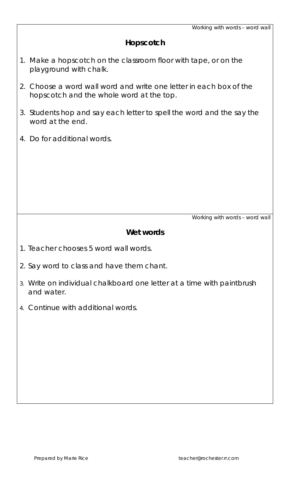#### **Hopscotch**

- 1. Make a hopscotch on the classroom floor with tape, or on the playground with chalk.
- 2. Choose a word wall word and write one letter in each box of the hopscotch and the whole word at the top.
- 3. Students hop and say each letter to spell the word and the say the word at the end.
- 4. Do for additional words.

*Working with words – word wall* 

#### **Wet words**

- 1. Teacher chooses 5 word wall words.
- 2. Say word to class and have them chant.
- 3. Write on individual chalkboard one letter at a time with paintbrush and water.
- 4. Continue with additional words.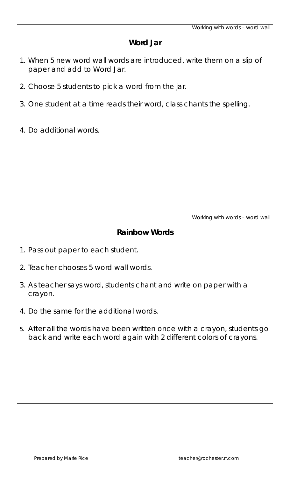#### **Word Jar**

- 1. When 5 new word wall words are introduced, write them on a slip of paper and add to Word Jar.
- 2. Choose 5 students to pick a word from the jar.
- 3. One student at a time reads their word, class chants the spelling.
- 4. Do additional words.

*Working with words – word wall* 

#### **Rainbow Words**

- 1. Pass out paper to each student.
- 2. Teacher chooses 5 word wall words.
- 3. As teacher says word, students chant and write on paper with a crayon.
- 4. Do the same for the additional words.
- 5. After all the words have been written once with a crayon, students go back and write each word again with 2 different colors of crayons.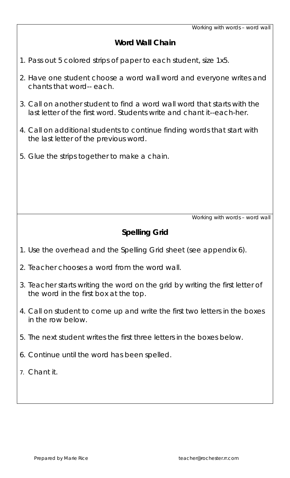#### **Word Wall Chain**

- 1. Pass out 5 colored strips of paper to each student, size 1x5.
- 2. Have one student choose a word wall word and everyone writes and chants that word-- each.
- 3. Call on another student to find a word wall word that starts with the last letter of the first word. Students write and chant it--each-her.
- 4. Call on additional students to continue finding words that start with the last letter of the previous word.
- 5. Glue the strips together to make a chain.

*Working with words – word wall* 

## **Spelling Grid**

- 1. Use the overhead and the Spelling Grid sheet (see appendix 6).
- 2. Teacher chooses a word from the word wall.
- 3. Teacher starts writing the word on the grid by writing the first letter of the word in the first box at the top.
- 4. Call on student to come up and write the first two letters in the boxes in the row below.
- 5. The next student writes the first three letters in the boxes below.
- 6. Continue until the word has been spelled.
- 7. Chant it.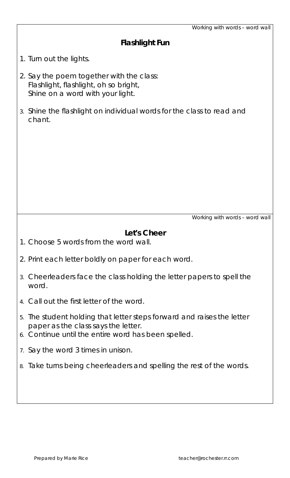*Working with words – word wall* 

| <b>Flashlight Fun</b> |  |  |  |
|-----------------------|--|--|--|
|                       |  |  |  |

1. Turn out the lights.

- 2. Say the poem together with the class: Flashlight, flashlight, oh so bright, Shine on a word with your light.
- 3. Shine the flashlight on individual words for the class to read and chant.

*Working with words – word wall* 

#### **Let's Cheer**

- 1. Choose 5 words from the word wall.
- 2. Print each letter boldly on paper for each word.
- 3. Cheerleaders face the class holding the letter papers to spell the word.
- 4. Call out the first letter of the word.
- 5. The student holding that letter steps forward and raises the letter paper as the class says the letter.
- 6. Continue until the entire word has been spelled.
- 7. Say the word 3 times in unison.
- 8. Take turns being cheerleaders and spelling the rest of the words*.*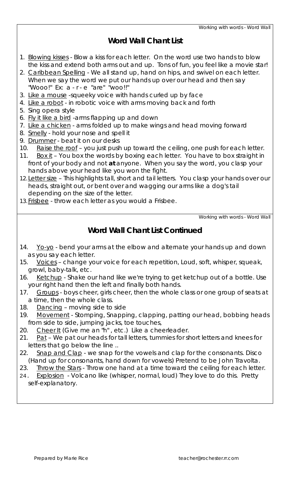#### **Word Wall Chant List**

- 1. Blowing kisses Blow a kiss for each letter. On the word use two hands to blow the kiss and extend both arms out and up. Tons of fun, you feel like a movie star!
- 2. Caribbean Spelling We all stand up, hand on hips, and swivel on each letter. When we say the word we put our hands up over our head and then say "Wooo!" Ex: a - r - e "are" "woo!!"
- 3. Like a mouse -squeeky voice with hands curled up by face
- 4. Like a robot in robotic voice with arms moving back and forth
- 5. Sing opera style
- 6. Fly it like a bird -arms flapping up and down
- 7. Like a chicken arms folded up to make wings and head moving forward
- 8. Smelly hold your nose and spell it
- 9. Drummer beat it on our desks
- 10. Raise the roof you just push up toward the ceiling, one push for each letter.
- 11. Box it You box the words by boxing each letter. You have to box straight in front of your body and not **at** anyone. When you say the word, you clasp your hands above your head like you won the fight.
- 12. Letter size This highlights tall, short and tail letters. You clasp your hands over our heads, straight out, or bent over and wagging our arms like a dog's tail depending on the size of the letter.
- 13. Frisbee throw each letter as you would a Frisbee.

*Working with words - Word Wall* 

#### **Word Wall Chant List Continued**

- 14. Yo-yo bend your arms at the elbow and alternate your hands up and down as you say each letter.
- 15. Voices change your voice for each repetition, Loud, soft, whisper, squeak, growl, baby-talk, etc.
- 16. Ketchup Shake our hand like we're trying to get ketchup out of a bottle. Use your right hand then the left and finally both hands.
- 17. Groups boys cheer, girls cheer, then the whole class or one group of seats at a time, then the whole class.
- 18. Dancing moving side to side
- 19. Movement Stomping, Snapping, clapping, patting our head, bobbing heads from side to side, jumping jacks, toe touches,
- 20. Cheer It (Give me an "h", etc.) Like a cheerleader.
- 21. Pat We pat our heads for tall letters, tummies for short letters and knees for letters that go below the line ..
- 22. Snap and Clap we snap for the vowels and clap for the consonants. Disco (Hand up for consonants, hand down for vowels) Pretend to be John Travolta.
- 23. Throw the Stars Throw one hand at a time toward the ceiling for each letter.
- 24. Explosion Volcano like (whisper, normal, loud) They love to do this. Pretty self-explanatory.